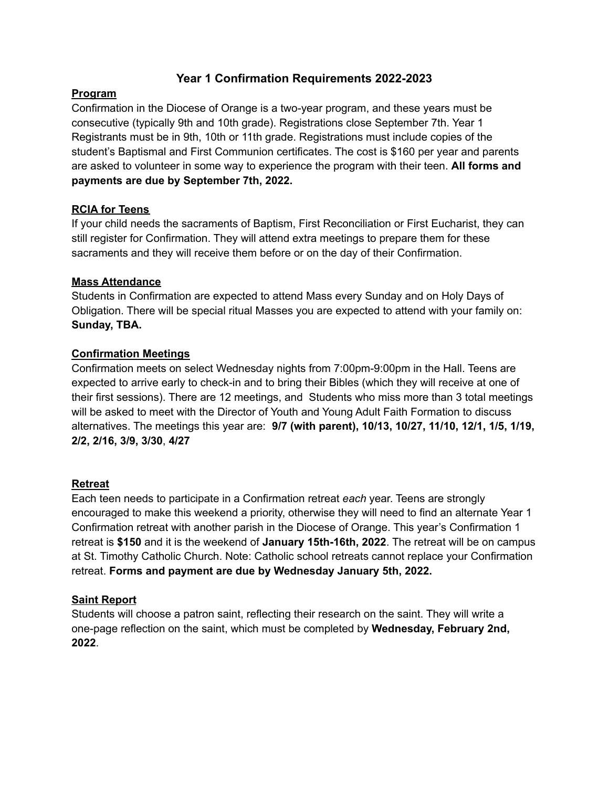# **Year 1 Confirmation Requirements 2022-2023**

## **Program**

Confirmation in the Diocese of Orange is a two-year program, and these years must be consecutive (typically 9th and 10th grade). Registrations close September 7th. Year 1 Registrants must be in 9th, 10th or 11th grade. Registrations must include copies of the student's Baptismal and First Communion certificates. The cost is \$160 per year and parents are asked to volunteer in some way to experience the program with their teen. **All forms and payments are due by September 7th, 2022.**

## **RCIA for Teens**

If your child needs the sacraments of Baptism, First Reconciliation or First Eucharist, they can still register for Confirmation. They will attend extra meetings to prepare them for these sacraments and they will receive them before or on the day of their Confirmation.

## **Mass Attendance**

Students in Confirmation are expected to attend Mass every Sunday and on Holy Days of Obligation. There will be special ritual Masses you are expected to attend with your family on: **Sunday, TBA.**

## **Confirmation Meetings**

Confirmation meets on select Wednesday nights from 7:00pm-9:00pm in the Hall. Teens are expected to arrive early to check-in and to bring their Bibles (which they will receive at one of their first sessions). There are 12 meetings, and Students who miss more than 3 total meetings will be asked to meet with the Director of Youth and Young Adult Faith Formation to discuss alternatives. The meetings this year are: **9/7 (with parent), 10/13, 10/27, 11/10, 12/1, 1/5, 1/19, 2/2, 2/16, 3/9, 3/30**, **4/27**

### **Retreat**

Each teen needs to participate in a Confirmation retreat *each* year. Teens are strongly encouraged to make this weekend a priority, otherwise they will need to find an alternate Year 1 Confirmation retreat with another parish in the Diocese of Orange. This year's Confirmation 1 retreat is **\$150** and it is the weekend of **January 15th-16th, 2022**. The retreat will be on campus at St. Timothy Catholic Church. Note: Catholic school retreats cannot replace your Confirmation retreat. **Forms and payment are due by Wednesday January 5th, 2022.**

## **Saint Report**

Students will choose a patron saint, reflecting their research on the saint. They will write a one-page reflection on the saint, which must be completed by **Wednesday, February 2nd, 2022**.